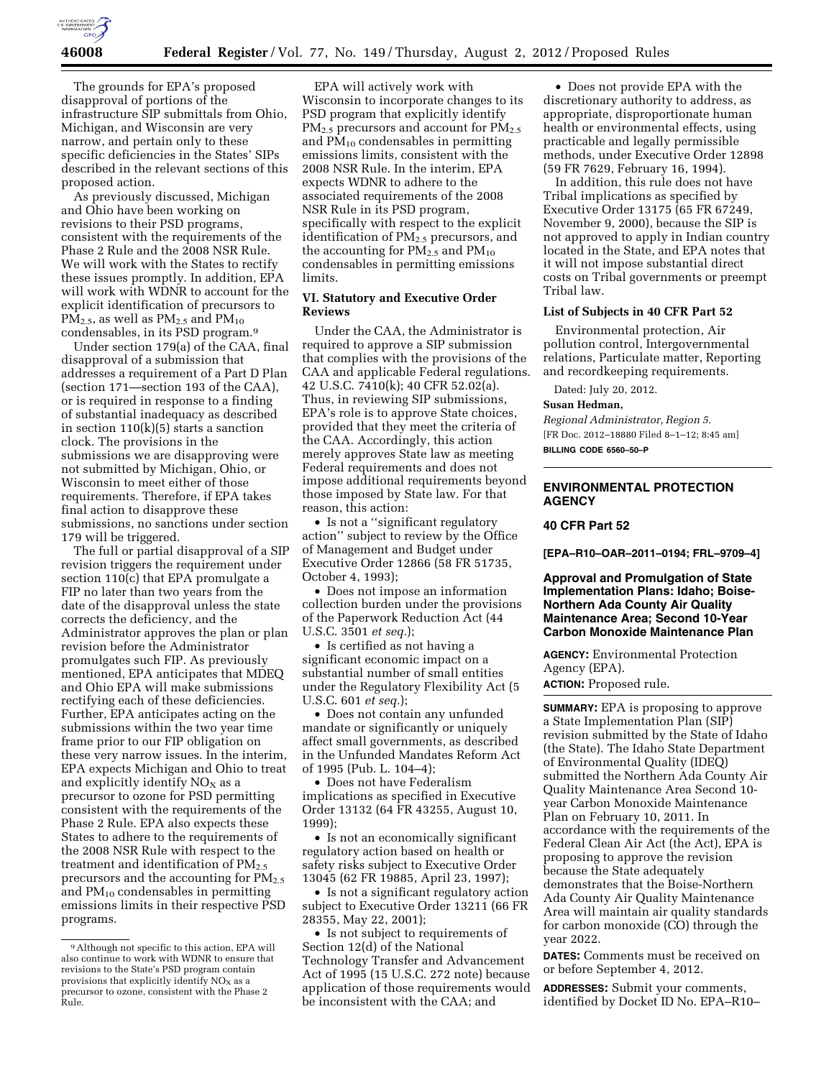

The grounds for EPA's proposed disapproval of portions of the infrastructure SIP submittals from Ohio, Michigan, and Wisconsin are very narrow, and pertain only to these specific deficiencies in the States' SIPs described in the relevant sections of this proposed action.

As previously discussed, Michigan and Ohio have been working on revisions to their PSD programs, consistent with the requirements of the Phase 2 Rule and the 2008 NSR Rule. We will work with the States to rectify these issues promptly. In addition, EPA will work with WDNR to account for the explicit identification of precursors to  $PM_{2.5}$ , as well as  $PM_{2.5}$  and  $PM_{10}$ condensables, in its PSD program.9

Under section 179(a) of the CAA, final disapproval of a submission that addresses a requirement of a Part D Plan (section 171—section 193 of the CAA), or is required in response to a finding of substantial inadequacy as described in section 110(k)(5) starts a sanction clock. The provisions in the submissions we are disapproving were not submitted by Michigan, Ohio, or Wisconsin to meet either of those requirements. Therefore, if EPA takes final action to disapprove these submissions, no sanctions under section 179 will be triggered.

The full or partial disapproval of a SIP revision triggers the requirement under section 110(c) that EPA promulgate a FIP no later than two years from the date of the disapproval unless the state corrects the deficiency, and the Administrator approves the plan or plan revision before the Administrator promulgates such FIP. As previously mentioned, EPA anticipates that MDEQ and Ohio EPA will make submissions rectifying each of these deficiencies. Further, EPA anticipates acting on the submissions within the two year time frame prior to our FIP obligation on these very narrow issues. In the interim, EPA expects Michigan and Ohio to treat and explicitly identify  $NO<sub>X</sub>$  as a precursor to ozone for PSD permitting consistent with the requirements of the Phase 2 Rule. EPA also expects these States to adhere to the requirements of the 2008 NSR Rule with respect to the treatment and identification of  $PM_{2.5}$ precursors and the accounting for  $PM_{2.5}$ and PM10 condensables in permitting emissions limits in their respective PSD programs.

EPA will actively work with Wisconsin to incorporate changes to its PSD program that explicitly identify PM<sub>2.5</sub> precursors and account for PM<sub>2.5</sub> and  $PM_{10}$  condensables in permitting emissions limits, consistent with the 2008 NSR Rule. In the interim, EPA expects WDNR to adhere to the associated requirements of the 2008 NSR Rule in its PSD program, specifically with respect to the explicit identification of PM<sub>2.5</sub> precursors, and the accounting for  $PM_{2.5}$  and  $PM_{10}$ condensables in permitting emissions limits.

# **VI. Statutory and Executive Order Reviews**

Under the CAA, the Administrator is required to approve a SIP submission that complies with the provisions of the CAA and applicable Federal regulations. 42 U.S.C. 7410(k); 40 CFR 52.02(a). Thus, in reviewing SIP submissions, EPA's role is to approve State choices, provided that they meet the criteria of the CAA. Accordingly, this action merely approves State law as meeting Federal requirements and does not impose additional requirements beyond those imposed by State law. For that reason, this action:

• Is not a ''significant regulatory action'' subject to review by the Office of Management and Budget under Executive Order 12866 (58 FR 51735, October 4, 1993);

• Does not impose an information collection burden under the provisions of the Paperwork Reduction Act (44 U.S.C. 3501 *et seq.*);

• Is certified as not having a significant economic impact on a substantial number of small entities under the Regulatory Flexibility Act (5 U.S.C. 601 *et seq.*);

• Does not contain any unfunded mandate or significantly or uniquely affect small governments, as described in the Unfunded Mandates Reform Act of 1995 (Pub. L. 104–4);

• Does not have Federalism implications as specified in Executive Order 13132 (64 FR 43255, August 10, 1999);

• Is not an economically significant regulatory action based on health or safety risks subject to Executive Order 13045 (62 FR 19885, April 23, 1997);

• Is not a significant regulatory action subject to Executive Order 13211 (66 FR 28355, May 22, 2001);

• Is not subject to requirements of Section 12(d) of the National Technology Transfer and Advancement Act of 1995 (15 U.S.C. 272 note) because application of those requirements would be inconsistent with the CAA; and

• Does not provide EPA with the discretionary authority to address, as appropriate, disproportionate human health or environmental effects, using practicable and legally permissible methods, under Executive Order 12898 (59 FR 7629, February 16, 1994).

In addition, this rule does not have Tribal implications as specified by Executive Order 13175 (65 FR 67249, November 9, 2000), because the SIP is not approved to apply in Indian country located in the State, and EPA notes that it will not impose substantial direct costs on Tribal governments or preempt Tribal law.

### **List of Subjects in 40 CFR Part 52**

Environmental protection, Air pollution control, Intergovernmental relations, Particulate matter, Reporting and recordkeeping requirements.

Dated: July 20, 2012.

#### **Susan Hedman,**

*Regional Administrator, Region 5.*  [FR Doc. 2012–18880 Filed 8–1–12; 8:45 am] **BILLING CODE 6560–50–P** 

## **ENVIRONMENTAL PROTECTION AGENCY**

## **40 CFR Part 52**

**[EPA–R10–OAR–2011–0194; FRL–9709–4]** 

**Approval and Promulgation of State Implementation Plans: Idaho; Boise-Northern Ada County Air Quality Maintenance Area; Second 10-Year Carbon Monoxide Maintenance Plan** 

**AGENCY:** Environmental Protection Agency (EPA).

**ACTION:** Proposed rule.

**SUMMARY:** EPA is proposing to approve a State Implementation Plan (SIP) revision submitted by the State of Idaho (the State). The Idaho State Department of Environmental Quality (IDEQ) submitted the Northern Ada County Air Quality Maintenance Area Second 10 year Carbon Monoxide Maintenance Plan on February 10, 2011. In accordance with the requirements of the Federal Clean Air Act (the Act), EPA is proposing to approve the revision because the State adequately demonstrates that the Boise-Northern Ada County Air Quality Maintenance Area will maintain air quality standards for carbon monoxide (CO) through the year 2022.

**DATES:** Comments must be received on or before September 4, 2012.

**ADDRESSES:** Submit your comments, identified by Docket ID No. EPA–R10–

<sup>9</sup>Although not specific to this action, EPA will also continue to work with WDNR to ensure that revisions to the State's PSD program contain<br>provisions that explicitly identify  $NO<sub>x</sub>$  as a provisions that explicitly identify  $NO<sub>x</sub>$  as a precursor to ozone, consistent with the Phase 2 Rule.